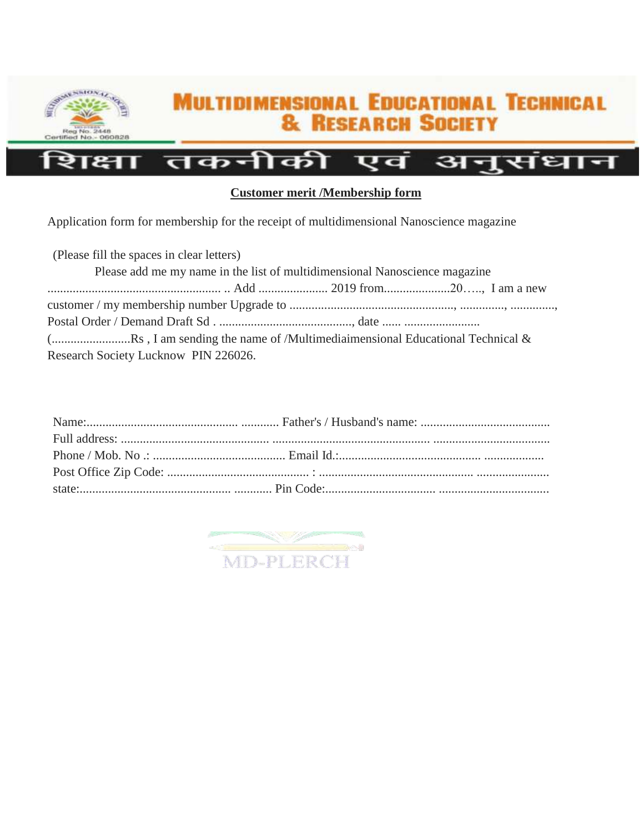

## **MULTIDIMENSIONAL EDUCATIONAL TECHNICAL & RESEARCH SOCIETY**

## तकनीकी अनुसंधान एव П

## **Customer merit /Membership form**

Application form for membership for the receipt of multidimensional Nanoscience magazine

(Please fill the spaces in clear letters) Please add me my name in the list of multidimensional Nanoscience magazine ....................................................... .. Add ...................... 2019 from.....................20….., I am a new customer / my membership number Upgrade to ...................................................., .............., .............., Postal Order / Demand Draft Sd . .........................................., date ...... ........................ (.........................Rs , I am sending the name of /Multimediaimensional Educational Technical & Research Society Lucknow PIN 226026.